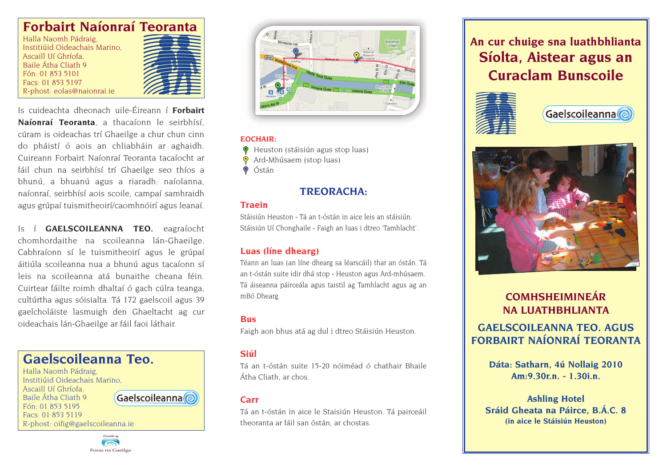## **Forbairt Naíonraí Teoranta**

Halla Naomh Pádraig, Institiúid Oideachais Marino, Ascaill Uí Ghríofa, Baile Átha Cliath 9 Fón: 01 853 5101 Facs: 01 853 5197 R-phost: eolas@naionrai.ie



Is cuideachta dheonach uile-Éireann í **Forbairt Naíonraí Teoranta**, a thacaíonn le seirbhísí, cúram is oideachas trí Ghaeilge a chur chun cinn do pháistí ó aois an chliabháin ar aghaidh. Cuireann Forbairt Naíonraí Teoranta tacaíocht ar fáil chun na seirbhísí trí Ghaeilge seo thíos a bhunú, a bhuanú agus a riaradh: naíolanna, naíonraí, seirbhísí aois scoile, campaí samhraidh agus grúpaí tuismitheoirí/caomhnóirí agus leanaí.

Is í **GAELSCOILEANNA TEO.** eagraíocht chomhordaithe na scoileanna lán-Ghaeilge. Cabhraíonn sí le tuismitheoirí agus le grúpaí áitiúla scoileanna nua a bhunú agus tacaíonn sí leis na scoileanna atá bunaithe cheana féin. Cuirtear fáilte roimh dhaltaí ó gach cúlra teanga, cultúrtha agus sóisialta. Tá 172 gaelscoil agus 39 gaelcholáiste lasmuigh den Ghaeltacht ag cur oideachais lán-Ghaeilge ar fáil faoi láthair.







#### **EOCHAIR:**

- Heuston (stáisiún agus stop luas)
- Ard-Mhúsaem (stop luas)
- $\odot$ Óstán

### **TREORACHA:**

#### **Traein**

Stáisiún Heuston - Tá an t-óstán in aice leis an stáisiún. Stáisiún Uí Chonghaile - Faigh an luas i dtreo 'Tamhlacht'.

#### **Luas (líne dhearg)**

Téann an luas (an líne dhearg sa léarscáil) thar an óstán. Tá an t-óstán suite idir dhá stop - Heuston agus Ard-mhúsaem. Tá áiseanna páirceála agus taistil ag Tamhlacht agus ag an mBó Dhearg.

#### **Bus**

Faigh aon bhus atá ag dul i dtreo Stáisiún Heuston.

#### **Siúl**

Tá an t-óstán suite 15-20 nóiméad ó chathair Bhaile Átha Cliath, ar chos.

#### **Carr**

Tá an t-óstán in aice le Staisiún Heuston. Tá pairceáil theoranta ar fáil san óstán, ar chostas.

# **An cur chuige sna luathbhlianta Síolta, Aistear agus an Curaclam Bunscoile**







## **COMHSHEIMINEÁR NA LUATHBHLIANTA GAELSCOILEANNA TEO. AGUS FORBAIRT NAÍONRAÍ TEORANTA**

**Dáta: Satharn, 4ú Nollaig 2010 Am:9.30r.n. - 1.30i.n.**

**Ashling Hotel Sráid Gheata na Páirce, B.Á.C. 8 (in aice le Stáisiún Heuston)**